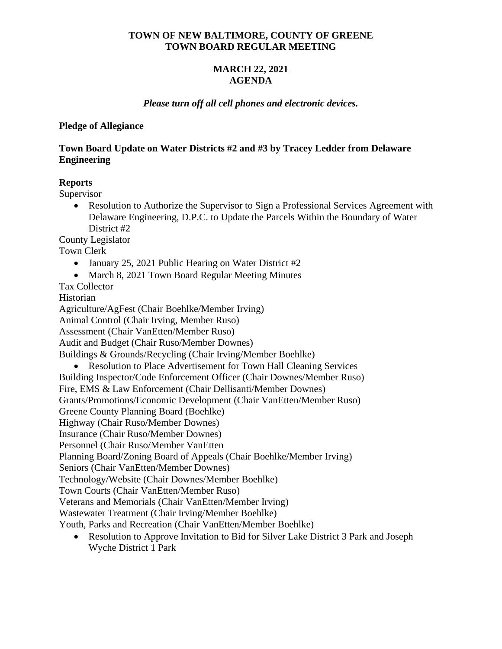### **TOWN OF NEW BALTIMORE, COUNTY OF GREENE TOWN BOARD REGULAR MEETING**

# **MARCH 22, 2021 AGENDA**

### *Please turn off all cell phones and electronic devices.*

### **Pledge of Allegiance**

## **Town Board Update on Water Districts #2 and #3 by Tracey Ledder from Delaware Engineering**

### **Reports**

Supervisor

• Resolution to Authorize the Supervisor to Sign a Professional Services Agreement with Delaware Engineering, D.P.C. to Update the Parcels Within the Boundary of Water District #2

County Legislator

Town Clerk

- January 25, 2021 Public Hearing on Water District #2
- March 8, 2021 Town Board Regular Meeting Minutes

Tax Collector

Historian

Agriculture/AgFest (Chair Boehlke/Member Irving)

Animal Control (Chair Irving, Member Ruso)

Assessment (Chair VanEtten/Member Ruso)

Audit and Budget (Chair Ruso/Member Downes)

Buildings & Grounds/Recycling (Chair Irving/Member Boehlke)

• Resolution to Place Advertisement for Town Hall Cleaning Services

Building Inspector/Code Enforcement Officer (Chair Downes/Member Ruso)

Fire, EMS & Law Enforcement (Chair Dellisanti/Member Downes)

Grants/Promotions/Economic Development (Chair VanEtten/Member Ruso)

Greene County Planning Board (Boehlke)

Highway (Chair Ruso/Member Downes)

Insurance (Chair Ruso/Member Downes)

Personnel (Chair Ruso/Member VanEtten

Planning Board/Zoning Board of Appeals (Chair Boehlke/Member Irving)

Seniors (Chair VanEtten/Member Downes)

Technology/Website (Chair Downes/Member Boehlke)

Town Courts (Chair VanEtten/Member Ruso)

Veterans and Memorials (Chair VanEtten/Member Irving)

Wastewater Treatment (Chair Irving/Member Boehlke)

Youth, Parks and Recreation (Chair VanEtten/Member Boehlke)

• Resolution to Approve Invitation to Bid for Silver Lake District 3 Park and Joseph Wyche District 1 Park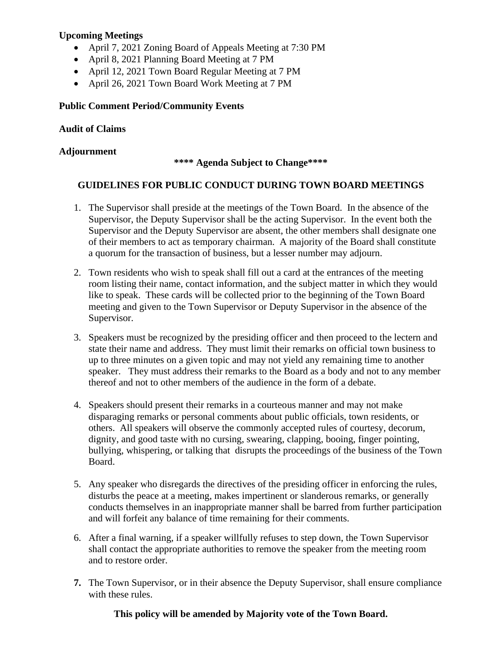# **Upcoming Meetings**

- April 7, 2021 Zoning Board of Appeals Meeting at 7:30 PM
- April 8, 2021 Planning Board Meeting at 7 PM
- April 12, 2021 Town Board Regular Meeting at 7 PM
- April 26, 2021 Town Board Work Meeting at 7 PM

# **Public Comment Period/Community Events**

# **Audit of Claims**

# **Adjournment**

### **\*\*\*\* Agenda Subject to Change\*\*\*\***

# **GUIDELINES FOR PUBLIC CONDUCT DURING TOWN BOARD MEETINGS**

- 1. The Supervisor shall preside at the meetings of the Town Board. In the absence of the Supervisor, the Deputy Supervisor shall be the acting Supervisor. In the event both the Supervisor and the Deputy Supervisor are absent, the other members shall designate one of their members to act as temporary chairman. A majority of the Board shall constitute a quorum for the transaction of business, but a lesser number may adjourn.
- 2. Town residents who wish to speak shall fill out a card at the entrances of the meeting room listing their name, contact information, and the subject matter in which they would like to speak. These cards will be collected prior to the beginning of the Town Board meeting and given to the Town Supervisor or Deputy Supervisor in the absence of the Supervisor.
- 3. Speakers must be recognized by the presiding officer and then proceed to the lectern and state their name and address. They must limit their remarks on official town business to up to three minutes on a given topic and may not yield any remaining time to another speaker. They must address their remarks to the Board as a body and not to any member thereof and not to other members of the audience in the form of a debate.
- 4. Speakers should present their remarks in a courteous manner and may not make disparaging remarks or personal comments about public officials, town residents, or others. All speakers will observe the commonly accepted rules of courtesy, decorum, dignity, and good taste with no cursing, swearing, clapping, booing, finger pointing, bullying, whispering, or talking that disrupts the proceedings of the business of the Town Board.
- 5. Any speaker who disregards the directives of the presiding officer in enforcing the rules, disturbs the peace at a meeting, makes impertinent or slanderous remarks, or generally conducts themselves in an inappropriate manner shall be barred from further participation and will forfeit any balance of time remaining for their comments.
- 6. After a final warning, if a speaker willfully refuses to step down, the Town Supervisor shall contact the appropriate authorities to remove the speaker from the meeting room and to restore order.
- **7.** The Town Supervisor, or in their absence the Deputy Supervisor, shall ensure compliance with these rules.

**This policy will be amended by Majority vote of the Town Board.**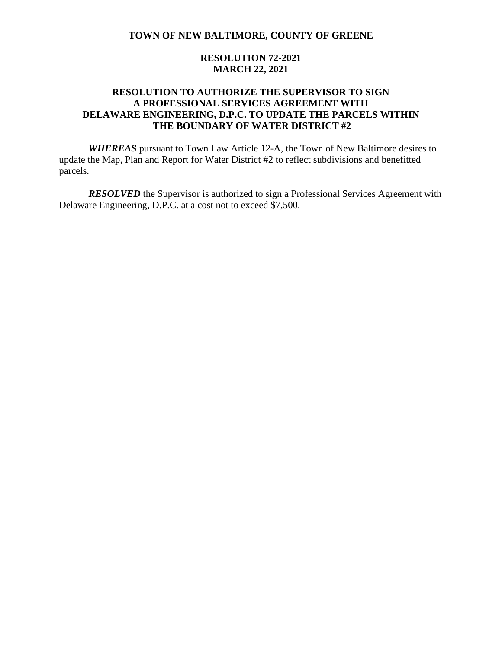### **RESOLUTION 72-2021 MARCH 22, 2021**

# **RESOLUTION TO AUTHORIZE THE SUPERVISOR TO SIGN A PROFESSIONAL SERVICES AGREEMENT WITH DELAWARE ENGINEERING, D.P.C. TO UPDATE THE PARCELS WITHIN THE BOUNDARY OF WATER DISTRICT #2**

*WHEREAS* pursuant to Town Law Article 12-A, the Town of New Baltimore desires to update the Map, Plan and Report for Water District #2 to reflect subdivisions and benefitted parcels.

*RESOLVED* the Supervisor is authorized to sign a Professional Services Agreement with Delaware Engineering, D.P.C. at a cost not to exceed \$7,500.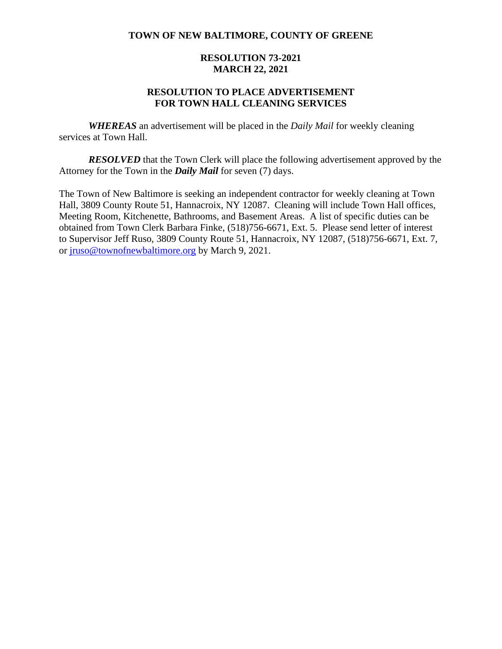### **RESOLUTION 73-2021 MARCH 22, 2021**

### **RESOLUTION TO PLACE ADVERTISEMENT FOR TOWN HALL CLEANING SERVICES**

*WHEREAS* an advertisement will be placed in the *Daily Mail* for weekly cleaning services at Town Hall.

*RESOLVED* that the Town Clerk will place the following advertisement approved by the Attorney for the Town in the *Daily Mail* for seven (7) days.

The Town of New Baltimore is seeking an independent contractor for weekly cleaning at Town Hall, 3809 County Route 51, Hannacroix, NY 12087. Cleaning will include Town Hall offices, Meeting Room, Kitchenette, Bathrooms, and Basement Areas. A list of specific duties can be obtained from Town Clerk Barbara Finke, (518)756-6671, Ext. 5. Please send letter of interest to Supervisor Jeff Ruso, 3809 County Route 51, Hannacroix, NY 12087, (518)756-6671, Ext. 7, or [jruso@townofnewbaltimore.org](mailto:jruso@townofnewbaltimore.org) by March 9, 2021.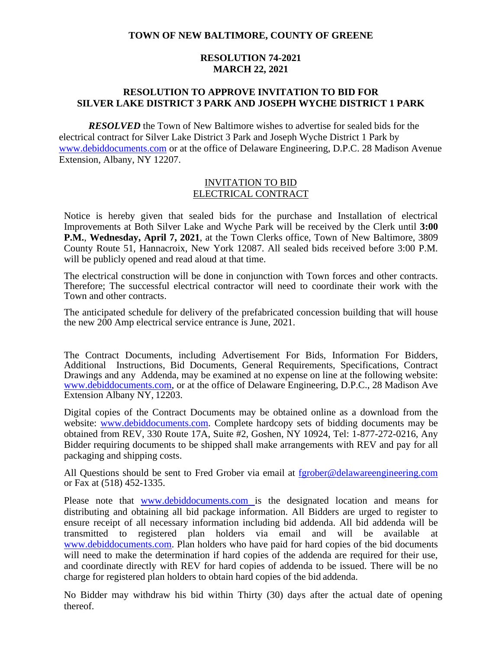### **RESOLUTION 74-2021 MARCH 22, 2021**

### **RESOLUTION TO APPROVE INVITATION TO BID FOR SILVER LAKE DISTRICT 3 PARK AND JOSEPH WYCHE DISTRICT 1 PARK**

*RESOLVED* the Town of New Baltimore wishes to advertise for sealed bids for the electrical contract for Silver Lake District 3 Park and Joseph Wyche District 1 Park by [www.debiddocuments.com](http://www.debiddocuments.com/) or at the office of Delaware Engineering, D.P.C. 28 Madison Avenue Extension, Albany, NY 12207.

### INVITATION TO BID ELECTRICAL CONTRACT

Notice is hereby given that sealed bids for the purchase and Installation of electrical Improvements at Both Silver Lake and Wyche Park will be received by the Clerk until **3:00 P.M.**, **Wednesday, April 7, 2021**, at the Town Clerks office, Town of New Baltimore, 3809 County Route 51, Hannacroix, New York 12087. All sealed bids received before 3:00 P.M. will be publicly opened and read aloud at that time.

The electrical construction will be done in conjunction with Town forces and other contracts. Therefore; The successful electrical contractor will need to coordinate their work with the Town and other contracts.

The anticipated schedule for delivery of the prefabricated concession building that will house the new 200 Amp electrical service entrance is June, 2021.

The Contract Documents, including Advertisement For Bids, Information For Bidders, Additional Instructions, Bid Documents, General Requirements, Specifications, Contract Drawings and any Addenda, may be examined at no expense on line at the following website: [www.debiddocuments.com,](http://www.debiddocuments.com/) or at the office of Delaware Engineering, D.P.C., 28 Madison Ave Extension Albany NY, 12203.

Digital copies of the Contract Documents may be obtained online as a download from the website: [www.debiddocuments.com.](http://www.debiddocuments.com/) Complete hardcopy sets of bidding documents may be obtained from REV, 330 Route 17A, Suite #2, Goshen, NY 10924, Tel: 1-877-272-0216, Any Bidder requiring documents to be shipped shall make arrangements with REV and pay for all packaging and shipping costs.

All Questions should be sent to Fred Grober via email at [fgrober@delawareengineering.com](mailto:fgrober@delawareengineering.com) or Fax at (518) 452-1335.

Please note that [www.debiddocuments.com](http://www.debiddocuments.com/) is the designated location and means for distributing and obtaining all bid package information. All Bidders are urged to register to ensure receipt of all necessary information including bid addenda. All bid addenda will be transmitted to registered plan holders via email and will be available at [www.debiddocuments.com.](http://www.debiddocuments.com/) Plan holders who have paid for hard copies of the bid documents will need to make the determination if hard copies of the addenda are required for their use, and coordinate directly with REV for hard copies of addenda to be issued. There will be no charge for registered plan holders to obtain hard copies of the bid addenda.

No Bidder may withdraw his bid within Thirty (30) days after the actual date of opening thereof.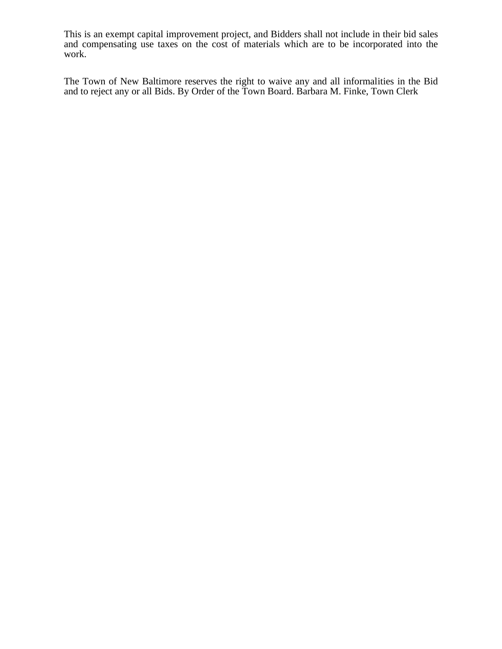This is an exempt capital improvement project, and Bidders shall not include in their bid sales and compensating use taxes on the cost of materials which are to be incorporated into the work.

The Town of New Baltimore reserves the right to waive any and all informalities in the Bid and to reject any or all Bids. By Order of the Town Board. Barbara M. Finke, Town Clerk